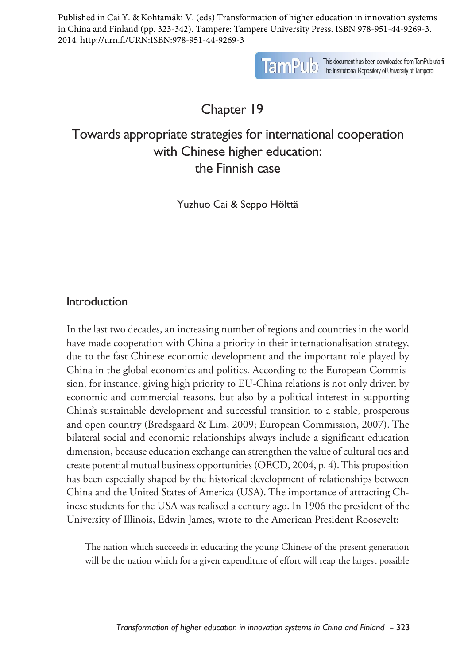Published in Cai Y. & Kohtamäki V. (eds) Transformation of higher education in innovation systems in China and Finland (pp. 323-342). Tampere: Tampere University Press. ISBN 978-951-44-9269-3. 2014. http://urn.fi/URN:ISBN:978-951-44-9269-3

**TamPulo** This document has been downloaded from TamPub.uta.fi<br>The Institutional Repository of University of Tampere

# Chapter 19

# Towards appropriate strategies for international cooperation with Chinese higher education: the Finnish case

Yuzhuo Cai & Seppo Hölttä

## Introduction

In the last two decades, an increasing number of regions and countries in the world have made cooperation with China a priority in their internationalisation strategy, due to the fast Chinese economic development and the important role played by China in the global economics and politics. According to the European Commission, for instance, giving high priority to EU-China relations is not only driven by economic and commercial reasons, but also by a political interest in supporting China's sustainable development and successful transition to a stable, prosperous and open country (Brødsgaard & Lim, 2009; European Commission, 2007). The bilateral social and economic relationships always include a significant education dimension, because education exchange can strengthen the value of cultural ties and create potential mutual business opportunities (OECD, 2004, p. 4). This proposition has been especially shaped by the historical development of relationships between China and the United States of America (USA). The importance of attracting Chinese students for the USA was realised a century ago. In 1906 the president of the University of Illinois, Edwin James, wrote to the American President Roosevelt:

The nation which succeeds in educating the young Chinese of the present generation will be the nation which for a given expenditure of effort will reap the largest possible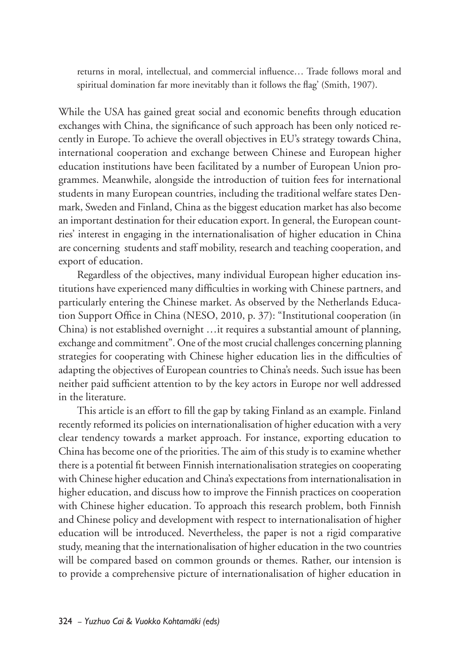returns in moral, intellectual, and commercial influence… Trade follows moral and spiritual domination far more inevitably than it follows the flag' (Smith, 1907).

While the USA has gained great social and economic benefits through education exchanges with China, the significance of such approach has been only noticed recently in Europe. To achieve the overall objectives in EU's strategy towards China, international cooperation and exchange between Chinese and European higher education institutions have been facilitated by a number of European Union programmes. Meanwhile, alongside the introduction of tuition fees for international students in many European countries, including the traditional welfare states Denmark, Sweden and Finland, China as the biggest education market has also become an important destination for their education export. In general, the European countries' interest in engaging in the internationalisation of higher education in China are concerning students and staff mobility, research and teaching cooperation, and export of education.

Regardless of the objectives, many individual European higher education institutions have experienced many difficulties in working with Chinese partners, and particularly entering the Chinese market. As observed by the Netherlands Education Support Office in China (NESO, 2010, p. 37): "Institutional cooperation (in China) is not established overnight …it requires a substantial amount of planning, exchange and commitment". One of the most crucial challenges concerning planning strategies for cooperating with Chinese higher education lies in the difficulties of adapting the objectives of European countries to China's needs. Such issue has been neither paid sufficient attention to by the key actors in Europe nor well addressed in the literature.

This article is an effort to fill the gap by taking Finland as an example. Finland recently reformed its policies on internationalisation of higher education with a very clear tendency towards a market approach. For instance, exporting education to China has become one of the priorities. The aim of this study is to examine whether there is a potential fit between Finnish internationalisation strategies on cooperating with Chinese higher education and China's expectations from internationalisation in higher education, and discuss how to improve the Finnish practices on cooperation with Chinese higher education. To approach this research problem, both Finnish and Chinese policy and development with respect to internationalisation of higher education will be introduced. Nevertheless, the paper is not a rigid comparative study, meaning that the internationalisation of higher education in the two countries will be compared based on common grounds or themes. Rather, our intension is to provide a comprehensive picture of internationalisation of higher education in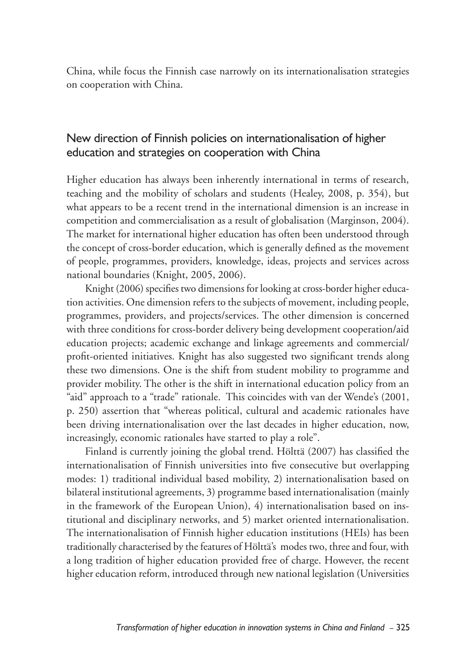China, while focus the Finnish case narrowly on its internationalisation strategies on cooperation with China.

## New direction of Finnish policies on internationalisation of higher education and strategies on cooperation with China

Higher education has always been inherently international in terms of research, teaching and the mobility of scholars and students (Healey, 2008, p. 354), but what appears to be a recent trend in the international dimension is an increase in competition and commercialisation as a result of globalisation (Marginson, 2004). The market for international higher education has often been understood through the concept of cross-border education, which is generally defined as the movement of people, programmes, providers, knowledge, ideas, projects and services across national boundaries (Knight, 2005, 2006).

Knight (2006) specifies two dimensions for looking at cross-border higher education activities. One dimension refers to the subjects of movement, including people, programmes, providers, and projects/services. The other dimension is concerned with three conditions for cross-border delivery being development cooperation/aid education projects; academic exchange and linkage agreements and commercial/ profit-oriented initiatives. Knight has also suggested two significant trends along these two dimensions. One is the shift from student mobility to programme and provider mobility. The other is the shift in international education policy from an "aid" approach to a "trade" rationale. This coincides with van der Wende's (2001, p. 250) assertion that "whereas political, cultural and academic rationales have been driving internationalisation over the last decades in higher education, now, increasingly, economic rationales have started to play a role".

Finland is currently joining the global trend. Hölttä (2007) has classified the internationalisation of Finnish universities into five consecutive but overlapping modes: 1) traditional individual based mobility, 2) internationalisation based on bilateral institutional agreements, 3) programme based internationalisation (mainly in the framework of the European Union), 4) internationalisation based on institutional and disciplinary networks, and 5) market oriented internationalisation. The internationalisation of Finnish higher education institutions (HEIs) has been traditionally characterised by the features of Hölttä's modes two, three and four, with a long tradition of higher education provided free of charge. However, the recent higher education reform, introduced through new national legislation (Universities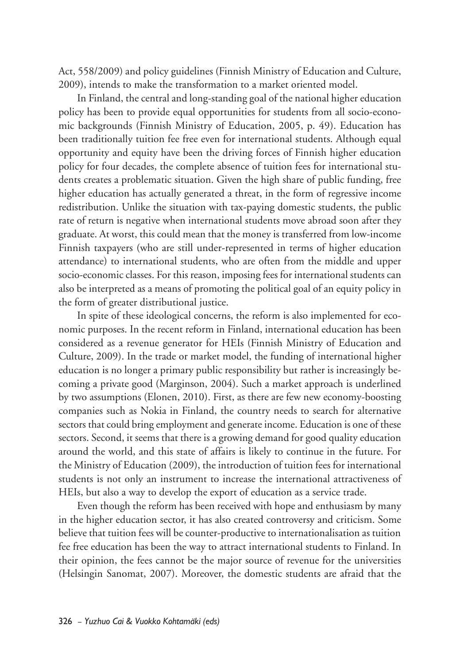Act, 558/2009) and policy guidelines (Finnish Ministry of Education and Culture, 2009), intends to make the transformation to a market oriented model.

In Finland, the central and long-standing goal of the national higher education policy has been to provide equal opportunities for students from all socio-economic backgrounds (Finnish Ministry of Education, 2005, p. 49). Education has been traditionally tuition fee free even for international students. Although equal opportunity and equity have been the driving forces of Finnish higher education policy for four decades, the complete absence of tuition fees for international students creates a problematic situation. Given the high share of public funding, free higher education has actually generated a threat, in the form of regressive income redistribution. Unlike the situation with tax-paying domestic students, the public rate of return is negative when international students move abroad soon after they graduate. At worst, this could mean that the money is transferred from low-income Finnish taxpayers (who are still under-represented in terms of higher education attendance) to international students, who are often from the middle and upper socio-economic classes. For this reason, imposing fees for international students can also be interpreted as a means of promoting the political goal of an equity policy in the form of greater distributional justice.

In spite of these ideological concerns, the reform is also implemented for economic purposes. In the recent reform in Finland, international education has been considered as a revenue generator for HEIs (Finnish Ministry of Education and Culture, 2009). In the trade or market model, the funding of international higher education is no longer a primary public responsibility but rather is increasingly becoming a private good (Marginson, 2004). Such a market approach is underlined by two assumptions (Elonen, 2010). First, as there are few new economy-boosting companies such as Nokia in Finland, the country needs to search for alternative sectors that could bring employment and generate income. Education is one of these sectors. Second, it seems that there is a growing demand for good quality education around the world, and this state of affairs is likely to continue in the future. For the Ministry of Education (2009), the introduction of tuition fees for international students is not only an instrument to increase the international attractiveness of HEIs, but also a way to develop the export of education as a service trade.

Even though the reform has been received with hope and enthusiasm by many in the higher education sector, it has also created controversy and criticism. Some believe that tuition fees will be counter-productive to internationalisation as tuition fee free education has been the way to attract international students to Finland. In their opinion, the fees cannot be the major source of revenue for the universities (Helsingin Sanomat, 2007). Moreover, the domestic students are afraid that the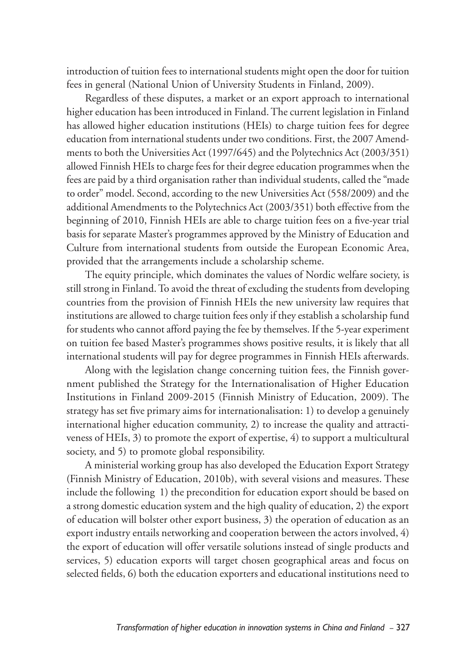introduction of tuition fees to international students might open the door for tuition fees in general (National Union of University Students in Finland, 2009).

Regardless of these disputes, a market or an export approach to international higher education has been introduced in Finland. The current legislation in Finland has allowed higher education institutions (HEIs) to charge tuition fees for degree education from international students under two conditions. First, the 2007 Amendments to both the Universities Act (1997/645) and the Polytechnics Act (2003/351) allowed Finnish HEIs to charge fees for their degree education programmes when the fees are paid by a third organisation rather than individual students, called the "made to order" model. Second, according to the new Universities Act (558/2009) and the additional Amendments to the Polytechnics Act (2003/351) both effective from the beginning of 2010, Finnish HEIs are able to charge tuition fees on a five-year trial basis for separate Master's programmes approved by the Ministry of Education and Culture from international students from outside the European Economic Area, provided that the arrangements include a scholarship scheme.

The equity principle, which dominates the values of Nordic welfare society, is still strong in Finland. To avoid the threat of excluding the students from developing countries from the provision of Finnish HEIs the new university law requires that institutions are allowed to charge tuition fees only if they establish a scholarship fund for students who cannot afford paying the fee by themselves. If the 5-year experiment on tuition fee based Master's programmes shows positive results, it is likely that all international students will pay for degree programmes in Finnish HEIs afterwards.

Along with the legislation change concerning tuition fees, the Finnish government published the Strategy for the Internationalisation of Higher Education Institutions in Finland 2009-2015 (Finnish Ministry of Education, 2009). The strategy has set five primary aims for internationalisation: 1) to develop a genuinely international higher education community, 2) to increase the quality and attractiveness of HEIs, 3) to promote the export of expertise, 4) to support a multicultural society, and 5) to promote global responsibility.

A ministerial working group has also developed the Education Export Strategy (Finnish Ministry of Education, 2010b), with several visions and measures. These include the following 1) the precondition for education export should be based on a strong domestic education system and the high quality of education, 2) the export of education will bolster other export business, 3) the operation of education as an export industry entails networking and cooperation between the actors involved, 4) the export of education will offer versatile solutions instead of single products and services, 5) education exports will target chosen geographical areas and focus on selected fields, 6) both the education exporters and educational institutions need to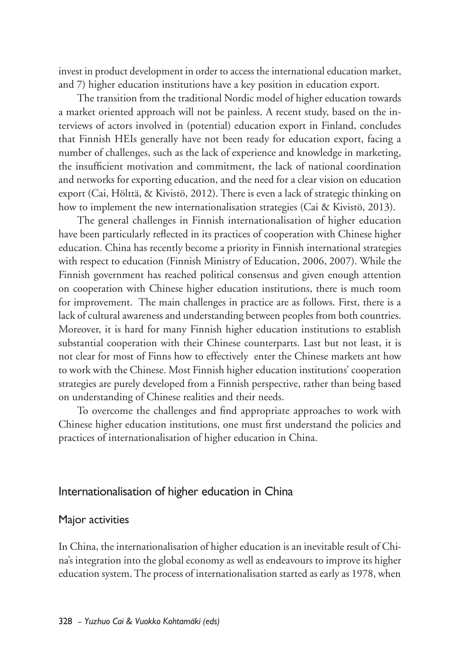invest in product development in order to access the international education market, and 7) higher education institutions have a key position in education export.

The transition from the traditional Nordic model of higher education towards a market oriented approach will not be painless. A recent study, based on the interviews of actors involved in (potential) education export in Finland, concludes that Finnish HEIs generally have not been ready for education export, facing a number of challenges, such as the lack of experience and knowledge in marketing, the insufficient motivation and commitment, the lack of national coordination and networks for exporting education, and the need for a clear vision on education export (Cai, Hölttä, & Kivistö, 2012). There is even a lack of strategic thinking on how to implement the new internationalisation strategies (Cai & Kivistö, 2013).

The general challenges in Finnish internationalisation of higher education have been particularly reflected in its practices of cooperation with Chinese higher education. China has recently become a priority in Finnish international strategies with respect to education (Finnish Ministry of Education, 2006, 2007). While the Finnish government has reached political consensus and given enough attention on cooperation with Chinese higher education institutions, there is much room for improvement. The main challenges in practice are as follows. First, there is a lack of cultural awareness and understanding between peoples from both countries. Moreover, it is hard for many Finnish higher education institutions to establish substantial cooperation with their Chinese counterparts. Last but not least, it is not clear for most of Finns how to effectively enter the Chinese markets ant how to work with the Chinese. Most Finnish higher education institutions' cooperation strategies are purely developed from a Finnish perspective, rather than being based on understanding of Chinese realities and their needs.

To overcome the challenges and find appropriate approaches to work with Chinese higher education institutions, one must first understand the policies and practices of internationalisation of higher education in China.

## Internationalisation of higher education in China

#### Major activities

In China, the internationalisation of higher education is an inevitable result of China's integration into the global economy as well as endeavours to improve its higher education system. The process of internationalisation started as early as 1978, when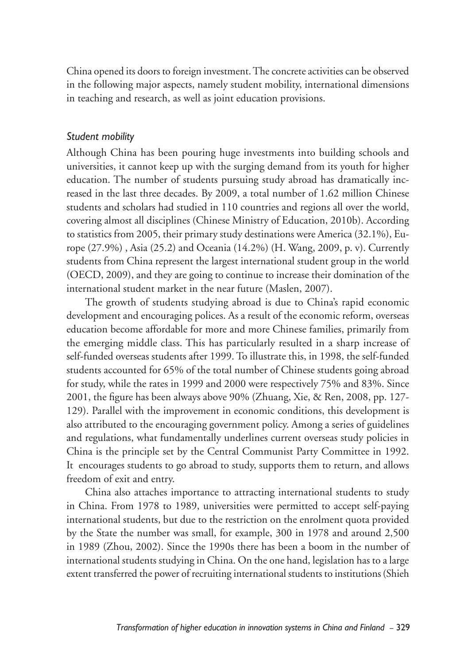China opened its doors to foreign investment. The concrete activities can be observed in the following major aspects, namely student mobility, international dimensions in teaching and research, as well as joint education provisions.

#### *Student mobility*

Although China has been pouring huge investments into building schools and universities, it cannot keep up with the surging demand from its youth for higher education. The number of students pursuing study abroad has dramatically increased in the last three decades. By 2009, a total number of 1.62 million Chinese students and scholars had studied in 110 countries and regions all over the world, covering almost all disciplines (Chinese Ministry of Education, 2010b). According to statistics from 2005, their primary study destinations were America (32.1%), Europe (27.9%) , Asia (25.2) and Oceania (14.2%) (H. Wang, 2009, p. v). Currently students from China represent the largest international student group in the world (OECD, 2009), and they are going to continue to increase their domination of the international student market in the near future (Maslen, 2007).

The growth of students studying abroad is due to China's rapid economic development and encouraging polices. As a result of the economic reform, overseas education become affordable for more and more Chinese families, primarily from the emerging middle class. This has particularly resulted in a sharp increase of self-funded overseas students after 1999. To illustrate this, in 1998, the self-funded students accounted for 65% of the total number of Chinese students going abroad for study, while the rates in 1999 and 2000 were respectively 75% and 83%. Since 2001, the figure has been always above 90% (Zhuang, Xie, & Ren, 2008, pp. 127- 129). Parallel with the improvement in economic conditions, this development is also attributed to the encouraging government policy. Among a series of guidelines and regulations, what fundamentally underlines current overseas study policies in China is the principle set by the Central Communist Party Committee in 1992. It encourages students to go abroad to study, supports them to return, and allows freedom of exit and entry.

China also attaches importance to attracting international students to study in China. From 1978 to 1989, universities were permitted to accept self-paying international students, but due to the restriction on the enrolment quota provided by the State the number was small, for example, 300 in 1978 and around 2,500 in 1989 (Zhou, 2002). Since the 1990s there has been a boom in the number of international students studying in China. On the one hand, legislation has to a large extent transferred the power of recruiting international students to institutions (Shieh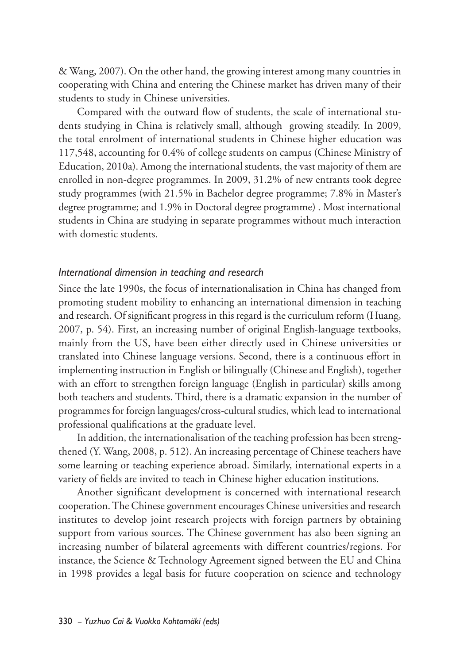& Wang, 2007). On the other hand, the growing interest among many countries in cooperating with China and entering the Chinese market has driven many of their students to study in Chinese universities.

Compared with the outward flow of students, the scale of international students studying in China is relatively small, although growing steadily. In 2009, the total enrolment of international students in Chinese higher education was 117,548, accounting for 0.4% of college students on campus (Chinese Ministry of Education, 2010a). Among the international students, the vast majority of them are enrolled in non-degree programmes. In 2009, 31.2% of new entrants took degree study programmes (with 21.5% in Bachelor degree programme; 7.8% in Master's degree programme; and 1.9% in Doctoral degree programme) . Most international students in China are studying in separate programmes without much interaction with domestic students.

#### *International dimension in teaching and research*

Since the late 1990s, the focus of internationalisation in China has changed from promoting student mobility to enhancing an international dimension in teaching and research. Of significant progress in this regard is the curriculum reform (Huang, 2007, p. 54). First, an increasing number of original English-language textbooks, mainly from the US, have been either directly used in Chinese universities or translated into Chinese language versions. Second, there is a continuous effort in implementing instruction in English or bilingually (Chinese and English), together with an effort to strengthen foreign language (English in particular) skills among both teachers and students. Third, there is a dramatic expansion in the number of programmes for foreign languages/cross-cultural studies, which lead to international professional qualifications at the graduate level.

In addition, the internationalisation of the teaching profession has been strengthened (Y. Wang, 2008, p. 512). An increasing percentage of Chinese teachers have some learning or teaching experience abroad. Similarly, international experts in a variety of fields are invited to teach in Chinese higher education institutions.

Another significant development is concerned with international research cooperation. The Chinese government encourages Chinese universities and research institutes to develop joint research projects with foreign partners by obtaining support from various sources. The Chinese government has also been signing an increasing number of bilateral agreements with different countries/regions. For instance, the Science & Technology Agreement signed between the EU and China in 1998 provides a legal basis for future cooperation on science and technology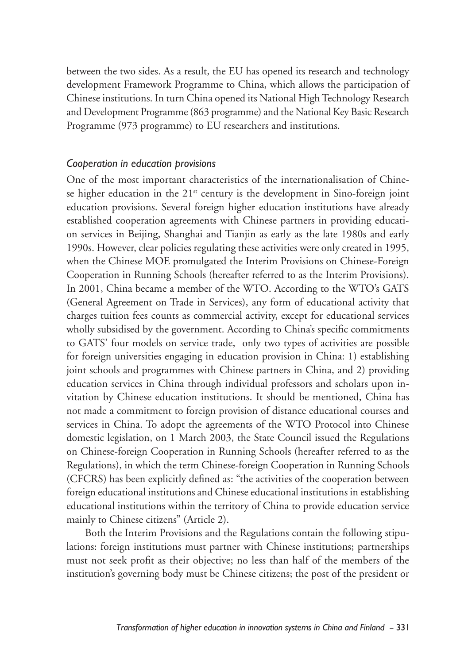between the two sides. As a result, the EU has opened its research and technology development Framework Programme to China, which allows the participation of Chinese institutions. In turn China opened its National High Technology Research and Development Programme (863 programme) and the National Key Basic Research Programme (973 programme) to EU researchers and institutions.

#### *Cooperation in education provisions*

One of the most important characteristics of the internationalisation of Chinese higher education in the  $21<sup>st</sup>$  century is the development in Sino-foreign joint education provisions. Several foreign higher education institutions have already established cooperation agreements with Chinese partners in providing education services in Beijing, Shanghai and Tianjin as early as the late 1980s and early 1990s. However, clear policies regulating these activities were only created in 1995, when the Chinese MOE promulgated the Interim Provisions on Chinese-Foreign Cooperation in Running Schools (hereafter referred to as the Interim Provisions). In 2001, China became a member of the WTO. According to the WTO's GATS (General Agreement on Trade in Services), any form of educational activity that charges tuition fees counts as commercial activity, except for educational services wholly subsidised by the government. According to China's specific commitments to GATS' four models on service trade, only two types of activities are possible for foreign universities engaging in education provision in China: 1) establishing joint schools and programmes with Chinese partners in China, and 2) providing education services in China through individual professors and scholars upon invitation by Chinese education institutions. It should be mentioned, China has not made a commitment to foreign provision of distance educational courses and services in China. To adopt the agreements of the WTO Protocol into Chinese domestic legislation, on 1 March 2003, the State Council issued the Regulations on Chinese-foreign Cooperation in Running Schools (hereafter referred to as the Regulations), in which the term Chinese-foreign Cooperation in Running Schools (CFCRS) has been explicitly defined as: "the activities of the cooperation between foreign educational institutions and Chinese educational institutions in establishing educational institutions within the territory of China to provide education service mainly to Chinese citizens" (Article 2).

Both the Interim Provisions and the Regulations contain the following stipulations: foreign institutions must partner with Chinese institutions; partnerships must not seek profit as their objective; no less than half of the members of the institution's governing body must be Chinese citizens; the post of the president or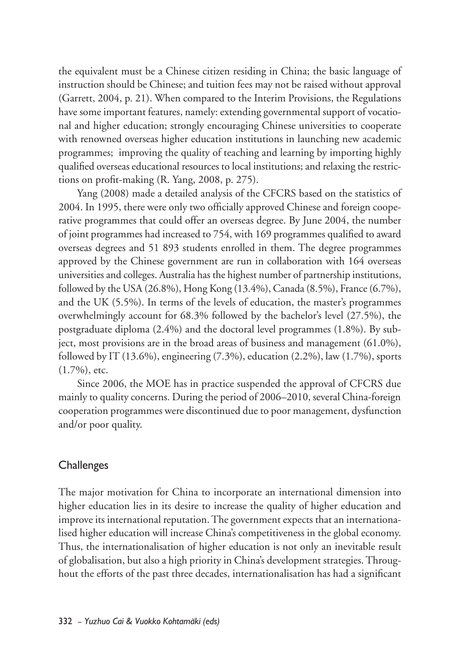the equivalent must be a Chinese citizen residing in China; the basic language of instruction should be Chinese; and tuition fees may not be raised without approval (Garrett, 2004, p. 21). When compared to the Interim Provisions, the Regulations have some important features, namely: extending governmental support of vocational and higher education; strongly encouraging Chinese universities to cooperate with renowned overseas higher education institutions in launching new academic programmes; improving the quality of teaching and learning by importing highly qualified overseas educational resources to local institutions; and relaxing the restrictions on profit-making (R. Yang, 2008, p. 275).

Yang (2008) made a detailed analysis of the CFCRS based on the statistics of 2004. In 1995, there were only two officially approved Chinese and foreign cooperative programmes that could offer an overseas degree. By June 2004, the number of joint programmes had increased to 754, with 169 programmes qualified to award overseas degrees and 51 893 students enrolled in them. The degree programmes approved by the Chinese government are run in collaboration with 164 overseas universities and colleges. Australia has the highest number of partnership institutions, followed by the USA (26.8%), Hong Kong (13.4%), Canada (8.5%), France (6.7%), and the UK (5.5%). In terms of the levels of education, the master's programmes overwhelmingly account for 68.3% followed by the bachelor's level (27.5%), the postgraduate diploma (2.4%) and the doctoral level programmes (1.8%). By subject, most provisions are in the broad areas of business and management (61.0%), followed by IT (13.6%), engineering (7.3%), education (2.2%), law (1.7%), sports (1.7%), etc.

Since 2006, the MOE has in practice suspended the approval of CFCRS due mainly to quality concerns. During the period of 2006–2010, several China-foreign cooperation programmes were discontinued due to poor management, dysfunction and/or poor quality.

## **Challenges**

The major motivation for China to incorporate an international dimension into higher education lies in its desire to increase the quality of higher education and improve its international reputation. The government expects that an internationalised higher education will increase China's competitiveness in the global economy. Thus, the internationalisation of higher education is not only an inevitable result of globalisation, but also a high priority in China's development strategies. Throughout the efforts of the past three decades, internationalisation has had a significant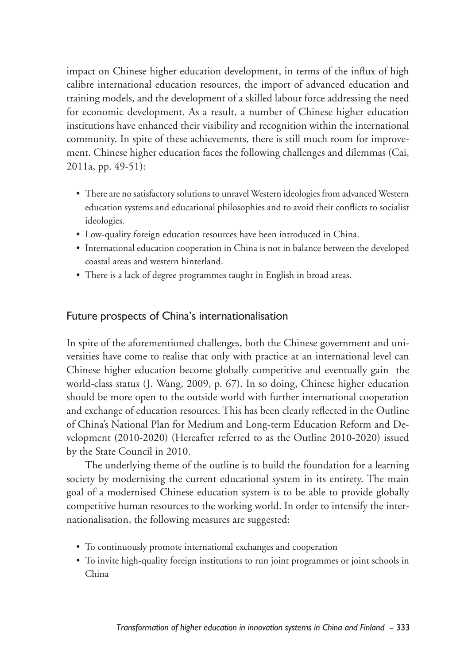impact on Chinese higher education development, in terms of the influx of high calibre international education resources, the import of advanced education and training models, and the development of a skilled labour force addressing the need for economic development. As a result, a number of Chinese higher education institutions have enhanced their visibility and recognition within the international community. In spite of these achievements, there is still much room for improvement. Chinese higher education faces the following challenges and dilemmas (Cai, 2011a, pp. 49-51):

- There are no satisfactory solutions to unravel Western ideologies from advanced Western education systems and educational philosophies and to avoid their conflicts to socialist ideologies.
- Low-quality foreign education resources have been introduced in China.
- International education cooperation in China is not in balance between the developed coastal areas and western hinterland.
- There is a lack of degree programmes taught in English in broad areas.

## Future prospects of China's internationalisation

In spite of the aforementioned challenges, both the Chinese government and universities have come to realise that only with practice at an international level can Chinese higher education become globally competitive and eventually gain the world-class status (J. Wang, 2009, p. 67). In so doing, Chinese higher education should be more open to the outside world with further international cooperation and exchange of education resources. This has been clearly reflected in the Outline of China's National Plan for Medium and Long-term Education Reform and Development (2010-2020) (Hereafter referred to as the Outline 2010-2020) issued by the State Council in 2010.

The underlying theme of the outline is to build the foundation for a learning society by modernising the current educational system in its entirety. The main goal of a modernised Chinese education system is to be able to provide globally competitive human resources to the working world. In order to intensify the internationalisation, the following measures are suggested:

- To continuously promote international exchanges and cooperation
- To invite high-quality foreign institutions to run joint programmes or joint schools in China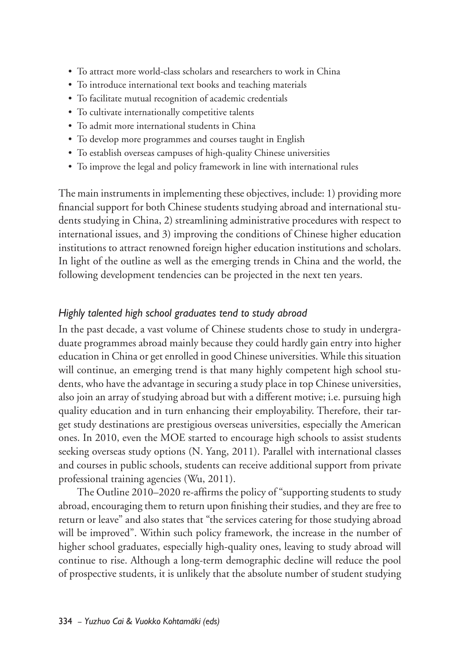- To attract more world-class scholars and researchers to work in China
- To introduce international text books and teaching materials
- To facilitate mutual recognition of academic credentials
- To cultivate internationally competitive talents
- To admit more international students in China
- To develop more programmes and courses taught in English
- To establish overseas campuses of high-quality Chinese universities
- To improve the legal and policy framework in line with international rules

The main instruments in implementing these objectives, include: 1) providing more financial support for both Chinese students studying abroad and international students studying in China, 2) streamlining administrative procedures with respect to international issues, and 3) improving the conditions of Chinese higher education institutions to attract renowned foreign higher education institutions and scholars. In light of the outline as well as the emerging trends in China and the world, the following development tendencies can be projected in the next ten years.

#### *Highly talented high school graduates tend to study abroad*

In the past decade, a vast volume of Chinese students chose to study in undergraduate programmes abroad mainly because they could hardly gain entry into higher education in China or get enrolled in good Chinese universities. While this situation will continue, an emerging trend is that many highly competent high school students, who have the advantage in securing a study place in top Chinese universities, also join an array of studying abroad but with a different motive; i.e. pursuing high quality education and in turn enhancing their employability. Therefore, their target study destinations are prestigious overseas universities, especially the American ones. In 2010, even the MOE started to encourage high schools to assist students seeking overseas study options (N. Yang, 2011). Parallel with international classes and courses in public schools, students can receive additional support from private professional training agencies (Wu, 2011).

The Outline 2010–2020 re-affirms the policy of "supporting students to study abroad, encouraging them to return upon finishing their studies, and they are free to return or leave" and also states that "the services catering for those studying abroad will be improved". Within such policy framework, the increase in the number of higher school graduates, especially high-quality ones, leaving to study abroad will continue to rise. Although a long-term demographic decline will reduce the pool of prospective students, it is unlikely that the absolute number of student studying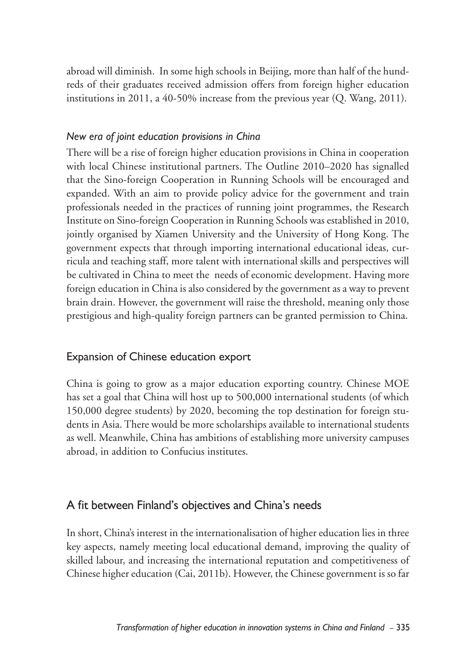abroad will diminish. In some high schools in Beijing, more than half of the hundreds of their graduates received admission offers from foreign higher education institutions in 2011, a 40-50% increase from the previous year (Q. Wang, 2011).

#### *New era of joint education provisions in China*

There will be a rise of foreign higher education provisions in China in cooperation with local Chinese institutional partners. The Outline 2010–2020 has signalled that the Sino-foreign Cooperation in Running Schools will be encouraged and expanded. With an aim to provide policy advice for the government and train professionals needed in the practices of running joint programmes, the Research Institute on Sino-foreign Cooperation in Running Schools was established in 2010, jointly organised by Xiamen University and the University of Hong Kong. The government expects that through importing international educational ideas, curricula and teaching staff, more talent with international skills and perspectives will be cultivated in China to meet the needs of economic development. Having more foreign education in China is also considered by the government as a way to prevent brain drain. However, the government will raise the threshold, meaning only those prestigious and high-quality foreign partners can be granted permission to China.

## Expansion of Chinese education export

China is going to grow as a major education exporting country. Chinese MOE has set a goal that China will host up to 500,000 international students (of which 150,000 degree students) by 2020, becoming the top destination for foreign students in Asia. There would be more scholarships available to international students as well. Meanwhile, China has ambitions of establishing more university campuses abroad, in addition to Confucius institutes.

## A fit between Finland's objectives and China's needs

In short, China's interest in the internationalisation of higher education lies in three key aspects, namely meeting local educational demand, improving the quality of skilled labour, and increasing the international reputation and competitiveness of Chinese higher education (Cai, 2011b). However, the Chinese government is so far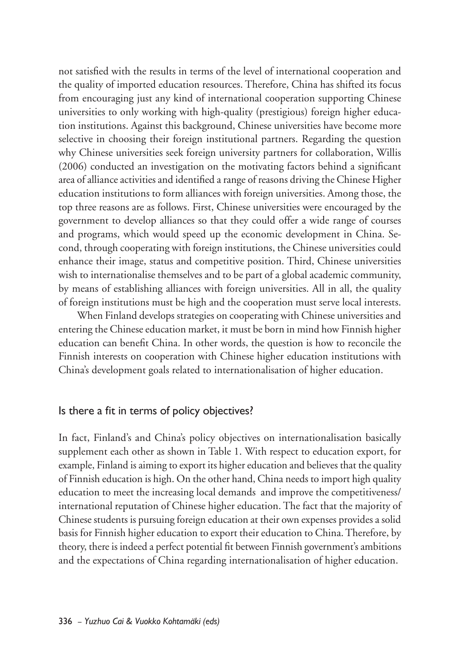not satisfied with the results in terms of the level of international cooperation and the quality of imported education resources. Therefore, China has shifted its focus from encouraging just any kind of international cooperation supporting Chinese universities to only working with high-quality (prestigious) foreign higher education institutions. Against this background, Chinese universities have become more selective in choosing their foreign institutional partners. Regarding the question why Chinese universities seek foreign university partners for collaboration, Willis (2006) conducted an investigation on the motivating factors behind a significant area of alliance activities and identified a range of reasons driving the Chinese Higher education institutions to form alliances with foreign universities. Among those, the top three reasons are as follows. First, Chinese universities were encouraged by the government to develop alliances so that they could offer a wide range of courses and programs, which would speed up the economic development in China. Second, through cooperating with foreign institutions, the Chinese universities could enhance their image, status and competitive position. Third, Chinese universities wish to internationalise themselves and to be part of a global academic community, by means of establishing alliances with foreign universities. All in all, the quality of foreign institutions must be high and the cooperation must serve local interests.

When Finland develops strategies on cooperating with Chinese universities and entering the Chinese education market, it must be born in mind how Finnish higher education can benefit China. In other words, the question is how to reconcile the Finnish interests on cooperation with Chinese higher education institutions with China's development goals related to internationalisation of higher education.

#### Is there a fit in terms of policy objectives?

In fact, Finland's and China's policy objectives on internationalisation basically supplement each other as shown in Table 1. With respect to education export, for example, Finland is aiming to export its higher education and believes that the quality of Finnish education is high. On the other hand, China needs to import high quality education to meet the increasing local demands and improve the competitiveness/ international reputation of Chinese higher education. The fact that the majority of Chinese students is pursuing foreign education at their own expenses provides a solid basis for Finnish higher education to export their education to China. Therefore, by theory, there is indeed a perfect potential fit between Finnish government's ambitions and the expectations of China regarding internationalisation of higher education.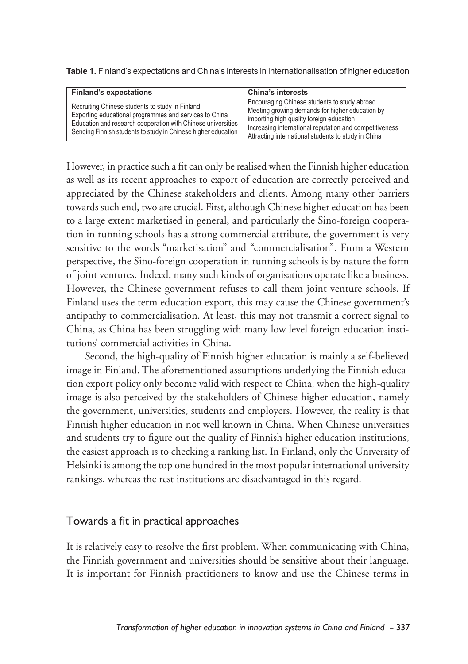| <b>Finland's expectations</b>                                                                                                                                                                                                              | <b>China's interests</b>                                                                                                                                                                                                                                      |
|--------------------------------------------------------------------------------------------------------------------------------------------------------------------------------------------------------------------------------------------|---------------------------------------------------------------------------------------------------------------------------------------------------------------------------------------------------------------------------------------------------------------|
| Recruiting Chinese students to study in Finland<br>Exporting educational programmes and services to China<br>Education and research cooperation with Chinese universities<br>Sending Finnish students to study in Chinese higher education | Encouraging Chinese students to study abroad<br>Meeting growing demands for higher education by<br>importing high quality foreign education<br>Increasing international reputation and competitiveness<br>Attracting international students to study in China |

**Table 1.** Finland's expectations and China's interests in internationalisation of higher education

However, in practice such a fit can only be realised when the Finnish higher education as well as its recent approaches to export of education are correctly perceived and appreciated by the Chinese stakeholders and clients. Among many other barriers towards such end, two are crucial. First, although Chinese higher education has been to a large extent marketised in general, and particularly the Sino-foreign cooperation in running schools has a strong commercial attribute, the government is very sensitive to the words "marketisation" and "commercialisation". From a Western perspective, the Sino-foreign cooperation in running schools is by nature the form of joint ventures. Indeed, many such kinds of organisations operate like a business. However, the Chinese government refuses to call them joint venture schools. If Finland uses the term education export, this may cause the Chinese government's antipathy to commercialisation. At least, this may not transmit a correct signal to China, as China has been struggling with many low level foreign education institutions' commercial activities in China.

Second, the high-quality of Finnish higher education is mainly a self-believed image in Finland. The aforementioned assumptions underlying the Finnish education export policy only become valid with respect to China, when the high-quality image is also perceived by the stakeholders of Chinese higher education, namely the government, universities, students and employers. However, the reality is that Finnish higher education in not well known in China. When Chinese universities and students try to figure out the quality of Finnish higher education institutions, the easiest approach is to checking a ranking list. In Finland, only the University of Helsinki is among the top one hundred in the most popular international university rankings, whereas the rest institutions are disadvantaged in this regard.

## Towards a fit in practical approaches

It is relatively easy to resolve the first problem. When communicating with China, the Finnish government and universities should be sensitive about their language. It is important for Finnish practitioners to know and use the Chinese terms in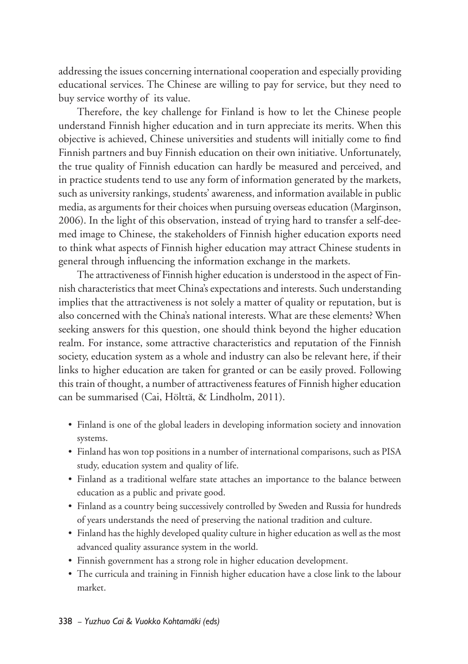addressing the issues concerning international cooperation and especially providing educational services. The Chinese are willing to pay for service, but they need to buy service worthy of its value.

Therefore, the key challenge for Finland is how to let the Chinese people understand Finnish higher education and in turn appreciate its merits. When this objective is achieved, Chinese universities and students will initially come to find Finnish partners and buy Finnish education on their own initiative. Unfortunately, the true quality of Finnish education can hardly be measured and perceived, and in practice students tend to use any form of information generated by the markets, such as university rankings, students' awareness, and information available in public media, as arguments for their choices when pursuing overseas education (Marginson, 2006). In the light of this observation, instead of trying hard to transfer a self-deemed image to Chinese, the stakeholders of Finnish higher education exports need to think what aspects of Finnish higher education may attract Chinese students in general through influencing the information exchange in the markets.

The attractiveness of Finnish higher education is understood in the aspect of Finnish characteristics that meet China's expectations and interests. Such understanding implies that the attractiveness is not solely a matter of quality or reputation, but is also concerned with the China's national interests. What are these elements? When seeking answers for this question, one should think beyond the higher education realm. For instance, some attractive characteristics and reputation of the Finnish society, education system as a whole and industry can also be relevant here, if their links to higher education are taken for granted or can be easily proved. Following this train of thought, a number of attractiveness features of Finnish higher education can be summarised (Cai, Hölttä, & Lindholm, 2011).

- Finland is one of the global leaders in developing information society and innovation systems.
- Finland has won top positions in a number of international comparisons, such as PISA study, education system and quality of life.
- Finland as a traditional welfare state attaches an importance to the balance between education as a public and private good.
- Finland as a country being successively controlled by Sweden and Russia for hundreds of years understands the need of preserving the national tradition and culture.
- Finland has the highly developed quality culture in higher education as well as the most advanced quality assurance system in the world.
- Finnish government has a strong role in higher education development.
- The curricula and training in Finnish higher education have a close link to the labour market.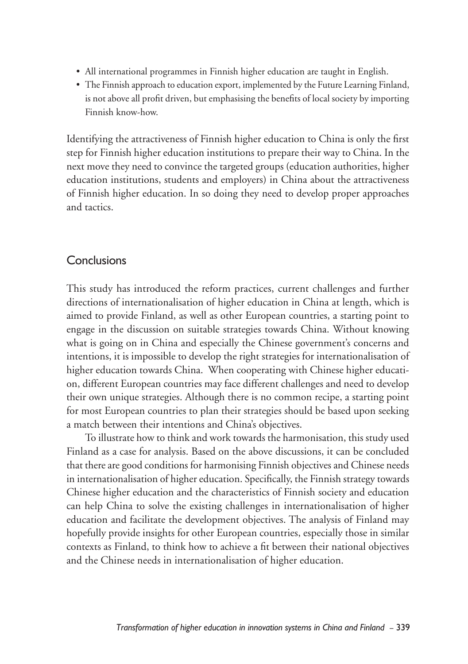- All international programmes in Finnish higher education are taught in English.
- The Finnish approach to education export, implemented by the Future Learning Finland, is not above all profit driven, but emphasising the benefits of local society by importing Finnish know-how.

Identifying the attractiveness of Finnish higher education to China is only the first step for Finnish higher education institutions to prepare their way to China. In the next move they need to convince the targeted groups (education authorities, higher education institutions, students and employers) in China about the attractiveness of Finnish higher education. In so doing they need to develop proper approaches and tactics.

## **Conclusions**

This study has introduced the reform practices, current challenges and further directions of internationalisation of higher education in China at length, which is aimed to provide Finland, as well as other European countries, a starting point to engage in the discussion on suitable strategies towards China. Without knowing what is going on in China and especially the Chinese government's concerns and intentions, it is impossible to develop the right strategies for internationalisation of higher education towards China. When cooperating with Chinese higher education, different European countries may face different challenges and need to develop their own unique strategies. Although there is no common recipe, a starting point for most European countries to plan their strategies should be based upon seeking a match between their intentions and China's objectives.

To illustrate how to think and work towards the harmonisation, this study used Finland as a case for analysis. Based on the above discussions, it can be concluded that there are good conditions for harmonising Finnish objectives and Chinese needs in internationalisation of higher education. Specifically, the Finnish strategy towards Chinese higher education and the characteristics of Finnish society and education can help China to solve the existing challenges in internationalisation of higher education and facilitate the development objectives. The analysis of Finland may hopefully provide insights for other European countries, especially those in similar contexts as Finland, to think how to achieve a fit between their national objectives and the Chinese needs in internationalisation of higher education.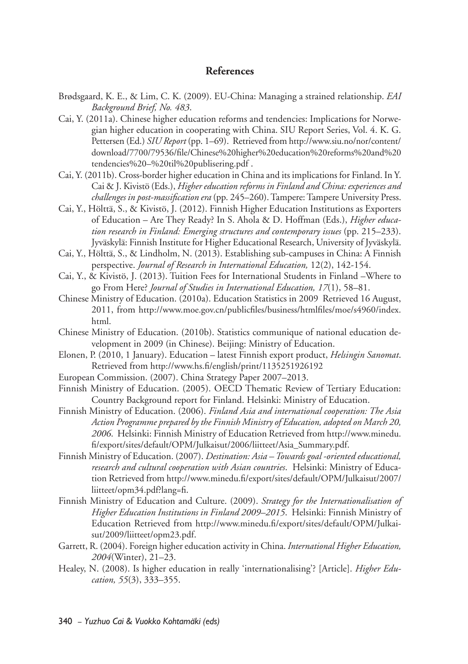#### **References**

- Brødsgaard, K. E., & Lim, C. K. (2009). EU-China: Managing a strained relationship. *EAI Background Brief, No. 483*.
- Cai, Y. (2011a). Chinese higher education reforms and tendencies: Implications for Norwegian higher education in cooperating with China. SIU Report Series, Vol. 4. K. G. Pettersen (Ed.) *SIU Report* (pp. 1–69). Retrieved from http://www.siu.no/nor/content/ download/7700/79536/file/Chinese%20higher%20education%20reforms%20and%20 tendencies%20–%20til%20publisering.pdf .
- Cai, Y. (2011b). Cross-border higher education in China and its implications for Finland. In Y. Cai & J. Kivistö (Eds.), *Higher education reforms in Finland and China: experiences and challenges in post-massification era* (pp. 245–260). Tampere: Tampere University Press.
- Cai, Y., Hölttä, S., & Kivistö, J. (2012). Finnish Higher Education Institutions as Exporters of Education – Are They Ready? In S. Ahola & D. Hoffman (Eds.), *Higher education research in Finland: Emerging structures and contemporary issues* (pp. 215–233). Jyväskylä: Finnish Institute for Higher Educational Research, University of Jyväskylä.
- Cai, Y., Hölttä, S., & Lindholm, N. (2013). Establishing sub-campuses in China: A Finnish perspective. *Journal of Research in International Education,* 12(2), 142-154.
- Cai, Y., & Kivistö, J. (2013). Tuition Fees for International Students in Finland –Where to go From Here? *Journal of Studies in International Education, 17*(1), 58–81.
- Chinese Ministry of Education. (2010a). Education Statistics in 2009 Retrieved 16 August, 2011, from http://www.moe.gov.cn/publicfiles/business/htmlfiles/moe/s4960/index. html.
- Chinese Ministry of Education. (2010b). Statistics communique of national education development in 2009 (in Chinese). Beijing: Ministry of Education.
- Elonen, P. (2010, 1 January). Education latest Finnish export product, *Helsingin Sanomat*. Retrieved from http://www.hs.fi/english/print/1135251926192
- European Commission. (2007). China Strategy Paper 2007–2013.
- Finnish Ministry of Education. (2005). OECD Thematic Review of Tertiary Education: Country Background report for Finland. Helsinki: Ministry of Education.
- Finnish Ministry of Education. (2006). *Finland Asia and international cooperation: The Asia Action Programme prepared by the Finnish Ministry of Education, adopted on March 20, 2006*. Helsinki: Finnish Ministry of Education Retrieved from http://www.minedu. fi/export/sites/default/OPM/Julkaisut/2006/liitteet/Asia\_Summary.pdf.
- Finnish Ministry of Education. (2007). *Destination: Asia Towards goal -oriented educational, research and cultural cooperation with Asian countries*. Helsinki: Ministry of Education Retrieved from http://www.minedu.fi/export/sites/default/OPM/Julkaisut/2007/ liitteet/opm34.pdf?lang=fi.
- Finnish Ministry of Education and Culture. (2009). *Strategy for the Internationalisation of Higher Education Institutions in Finland 2009–2015*. Helsinki: Finnish Ministry of Education Retrieved from http://www.minedu.fi/export/sites/default/OPM/Julkaisut/2009/liitteet/opm23.pdf.
- Garrett, R. (2004). Foreign higher education activity in China. *International Higher Education, 2004*(Winter), 21–23.
- Healey, N. (2008). Is higher education in really 'internationalising'? [Article]. *Higher Education, 55*(3), 333–355.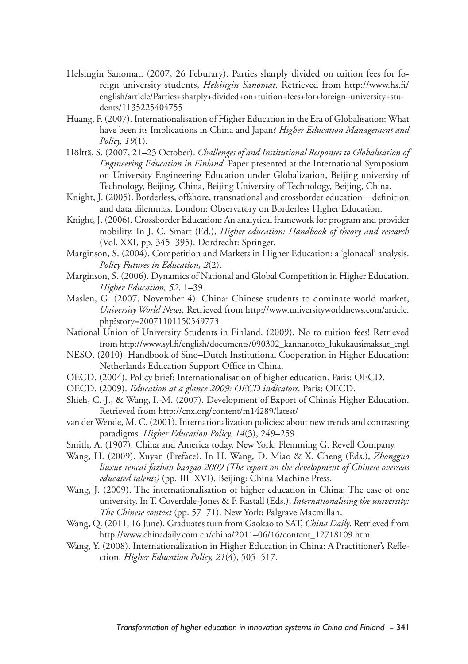- Helsingin Sanomat. (2007, 26 Feburary). Parties sharply divided on tuition fees for foreign university students, *Helsingin Sanomat*. Retrieved from http://www.hs.fi/ english/article/Parties+sharply+divided+on+tuition+fees+for+foreign+university+students/1135225404755
- Huang, F. (2007). Internationalisation of Higher Education in the Era of Globalisation: What have been its Implications in China and Japan? *Higher Education Management and Policy, 19*(1).
- Hölttä, S. (2007, 21–23 October). *Challenges of and Institutional Responses to Globalisation of Engineering Education in Finland.* Paper presented at the International Symposium on University Engineering Education under Globalization, Beijing university of Technology, Beijing, China, Beijing University of Technology, Beijing, China.
- Knight, J. (2005). Borderless, offshore, transnational and crossborder education––definition and data dilemmas. London: Observatory on Borderless Higher Education.
- Knight, J. (2006). Crossborder Education: An analytical framework for program and provider mobility. In J. C. Smart (Ed.), *Higher education: Handbook of theory and research* (Vol. XXI, pp. 345–395). Dordrecht: Springer.
- Marginson, S. (2004). Competition and Markets in Higher Education: a 'glonacal' analysis. *Policy Futures in Education, 2*(2).
- Marginson, S. (2006). Dynamics of National and Global Competition in Higher Education. *Higher Education, 52*, 1–39.
- Maslen, G. (2007, November 4). China: Chinese students to dominate world market, *University World News*. Retrieved from http://www.universityworldnews.com/article. php?story=20071101150549773
- National Union of University Students in Finland. (2009). No to tuition fees! Retrieved from http://www.syl.fi/english/documents/090302\_kannanotto\_lukukausimaksut\_engl
- NESO. (2010). Handbook of Sino–Dutch Institutional Cooperation in Higher Education: Netherlands Education Support Office in China.
- OECD. (2004). Policy brief: Internationalisation of higher education. Paris: OECD.
- OECD. (2009). *Education at a glance 2009: OECD indicators*. Paris: OECD.
- Shieh, C.-J., & Wang, I.-M. (2007). Development of Export of China's Higher Education. Retrieved from http://cnx.org/content/m14289/latest/
- van der Wende, M. C. (2001). Internationalization policies: about new trends and contrasting paradigms. *Higher Education Policy, 14*(3), 249–259.
- Smith, A. (1907). China and America today. New York: Flemming G. Revell Company.
- Wang, H. (2009). Xuyan (Preface). In H. Wang, D. Miao & X. Cheng (Eds.), *Zhongguo liuxue rencai fazhan baogao 2009 (The report on the development of Chinese overseas educated talents)* (pp. III–XVI). Beijing: China Machine Press.
- Wang, J. (2009). The internationalisation of higher education in China: The case of one university. In T. Coverdale-Jones & P. Rastall (Eds.), *Internationalising the university: The Chinese context* (pp. 57–71). New York: Palgrave Macmillan.
- Wang, Q. (2011, 16 June). Graduates turn from Gaokao to SAT, *China Daily*. Retrieved from http://www.chinadaily.com.cn/china/2011–06/16/content\_12718109.htm
- Wang, Y. (2008). Internationalization in Higher Education in China: A Practitioner's Reflection. *Higher Education Policy, 21*(4), 505–517.